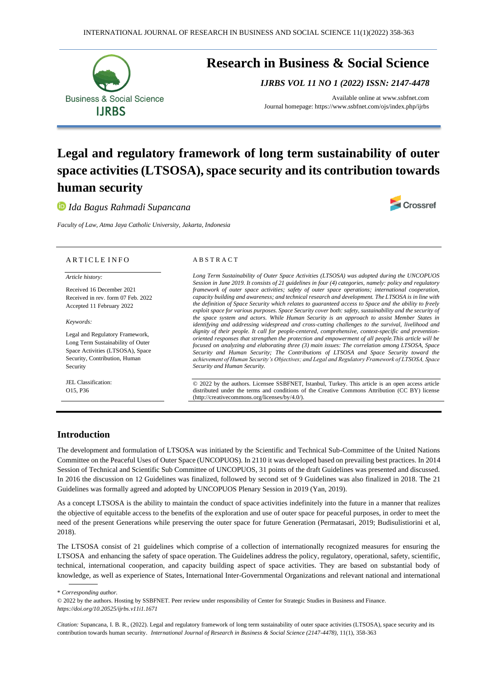

# **Research in Business & Social Science**

*IJRBS VOL 11 NO 1 (2022) ISSN: 2147-4478*

Available online at [www.ssbfnet.com](http://www.ssbfnet.com/) Journal homepage: https://www.ssbfnet.com/ojs/index.php/ijrbs

# **Legal and regulatory framework of long term sustainability of outer space activities (LTSOSA), space security and its contribution towards human security**

*Ida Bagus Rahmadi Supancana*

*Faculty of Law, Atma Jaya Catholic University, Jakarta, Indonesia*



# ARTICLE INFO

*Article history:* 

Received 16 December 2021 Received in rev. form 07 Feb. 2022 Accepted 11 February 2022

*Keywords:*

Legal and Regulatory Framework, Long Term Sustainability of Outer Space Activities (LTSOSA), Space Security, Contribution, Human Security

JEL Classification: O15, P36

#### A B S T R A C T

*Long Term Sustainability of Outer Space Activities (LTSOSA) was adopted during the UNCOPUOS Session in June 2019. It consists of 21 guidelines in four (4) categories, namely: policy and regulatory framework of outer space activities; safety of outer space operations; international cooperation, capacity building and awareness; and technical research and development. The LTSOSA is in line with the definition of Space Security which relates to guaranteed access to Space and the ability to freely exploit space for various purposes. Space Security cover both: safety, sustainability and the security of the space system and actors. While Human Security is an approach to assist Member States in identifying and addressing widespread and cross-cutting challenges to the survival, livelihood and dignity of their people. It call for people-centered, comprehensive, context-specific and preventionoriented responses that strengthen the protection and empowerment of all people.This article will be focused on analyzing and elaborating three (3) main issues: The correlation among LTSOSA, Space Security and Human Security; The Contributions of LTSOSA and Space Security toward the achievement of Human Security's Objectives; and Legal and Regulatory Framework of LTSOSA, Space Security and Human Security.*

© 2022 by the authors. Licensee SSBFNET, Istanbul, Turkey. This article is an open access article distributed under the terms and conditions of the Creative Commons Attribution (CC BY) license (http://creativecommons.org/licenses/by/4.0/).

# **Introduction**

The development and formulation of LTSOSA was initiated by the Scientific and Technical Sub-Committee of the United Nations Committee on the Peaceful Uses of Outer Space (UNCOPUOS). In 2110 it was developed based on prevailing best practices. In 2014 Session of Technical and Scientific Sub Committee of UNCOPUOS, 31 points of the draft Guidelines was presented and discussed. In 2016 the discussion on 12 Guidelines was finalized, followed by second set of 9 Guidelines was also finalized in 2018. The 21 Guidelines was formally agreed and adopted by UNCOPUOS Plenary Session in 2019 (Yan, 2019).

As a concept LTSOSA is the ability to maintain the conduct of space activities indefinitely into the future in a manner that realizes the objective of equitable access to the benefits of the exploration and use of outer space for peaceful purposes, in order to meet the need of the present Generations while preserving the outer space for future Generation (Permatasari, 2019; Budisulistiorini et al, 2018).

The LTSOSA consist of 21 guidelines which comprise of a collection of internationally recognized measures for ensuring the LTSOSA and enhancing the safety of space operation. The Guidelines address the policy, regulatory, operational, safety, scientific, technical, international cooperation, and capacity building aspect of space activities. They are based on substantial body of knowledge, as well as experience of States, International Inter-Governmental Organizations and relevant national and international

\* *Corresponding author.*

*Citation:* Supancana, I. B. R., (2022). Legal and regulatory framework of long term sustainability of outer space activities (LTSOSA), space security and its contribution towards human security. *International Journal of Research in Business & Social Science (2147-4478)*, 11(1), 358-363

<sup>© 2022</sup> by the authors. Hosting by SSBFNET. Peer review under responsibility of Center for Strategic Studies in Business and Finance. *<https://doi.org/10.20525/ijrbs.v11i1.1671>*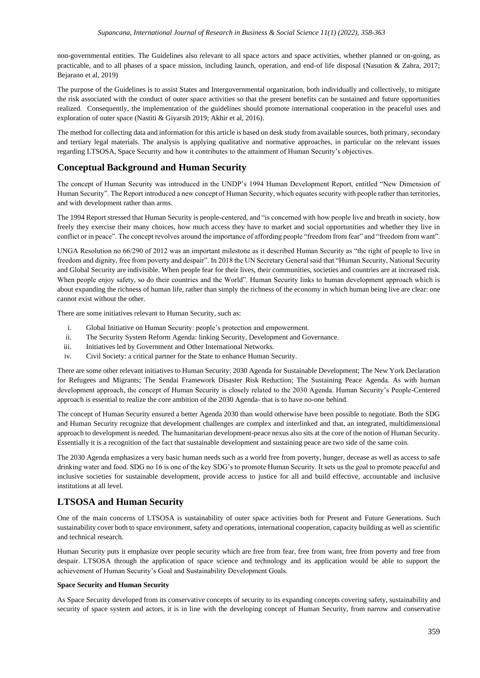non-governmental entities. The Guidelines also relevant to all space actors and space activities, whether planned or on-going, as practicable, and to all phases of a space mission, including launch, operation, and end-of life disposal (Nasution & Zahra, 2017; Bejarano et al, 2019)

The purpose of the Guidelines is to assist States and Intergovernmental organization, both individually and collectively, to mitigate the risk associated with the conduct of outer space activities so that the present benefits can be sustained and future opportunities realized. Consequently, the implementation of the guidelines should promote international cooperation in the peaceful uses and exploration of outer space (Nastiti & Giyarsih 2019; Akhir et al, 2016).

The method for collecting data and information for this article is based on desk study from available sources, both primary, secondary and tertiary legal materials. The analysis is applying qualitative and normative approaches, in particular on the relevant issues regarding LTSOSA, Space Security and how it contributes to the attainment of Human Security's objectives.

# **Conceptual Background and Human Security**

The concept of Human Security was introduced in the UNDP's 1994 Human Development Report, entitled "New Dimension of Human Security". The Report introduced a new concept of Human Security, which equates security with people rather than territories, and with development rather than arms.

The 1994 Report stressed that Human Security is people-centered, and "is concerned with how people live and breath in society, how freely they exercise their many choices, how much access they have to market and social opportunities and whether they live in conflict or in peace". The concept revolves around the importance of affording people "freedom from fear" and "freedom from want".

UNGA Resolution no 66/290 of 2012 was an important milestone as it described Human Security as "the right of people to live in freedom and dignity, free from poverty and despair". In 2018 the UN Secretary General said that "Human Security, National Security and Global Security are indivisible. When people fear for their lives, their communities, societies and countries are at increased risk. When people enjoy safety, so do their countries and the World". Human Security links to human development approach which is about expanding the richness of human life, rather than simply the richness of the economy in which human being live are clear: one cannot exist without the other.

There are some initiatives relevant to Human Security, such as:

- i. Global Initiative on Human Security: people's protection and empowerment.
- ii. The Security System Reform Agenda: linking Security, Development and Governance.
- iii. Initiatives led by Government and Other International Networks.
- iv. Civil Society: a critical partner for the State to enhance Human Security.

There are some other relevant initiatives to Human Security: 2030 Agenda for Sustainable Development; The New York Declaration for Refugees and Migrants; The Sendai Framework Disaster Risk Reduction; The Sustaining Peace Agenda. As with human development approach, the concept of Human Security is closely related to the 2030 Agenda. Human Security's People-Centered approach is essential to realize the core ambition of the 2030 Agenda- that is to have no-one behind.

The concept of Human Security ensured a better Agenda 2030 than would otherwise have been possible to negotiate. Both the SDG and Human Security recognize that development challenges are complex and interlinked and that, an integrated, multidimensional approach to development is needed. The humanitarian development-peace nexus also sits at the core of the notion of Human Security. Essentially it is a recognition of the fact that sustainable development and sustaining peace are two side of the same coin.

The 2030 Agenda emphasizes a very basic human needs such as a world free from poverty, hunger, decease as well as access to safe drinking water and food. SDG no 16 is one of the key SDG's to promote Human Security. It sets us the goal to promote peaceful and inclusive societies for sustainable development, provide access to justice for all and build effective, accountable and inclusive institutions at all level.

# **LTSOSA and Human Security**

One of the main concerns of LTSOSA is sustainability of outer space activities both for Present and Future Generations. Such sustainability cover both to space environment, safety and operations, international cooperation, capacity building as well as scientific and technical research.

Human Security puts it emphasize over people security which are free from fear, free from want, free from poverty and free from despair. LTSOSA through the application of space science and technology and its application would be able to support the achievement of Human Security's Goal and Sustainability Development Goals.

# **Space Security and Human Security**

As Space Security developed from its conservative concepts of security to its expanding concepts covering safety, sustainability and security of space system and actors, it is in line with the developing concept of Human Security, from narrow and conservative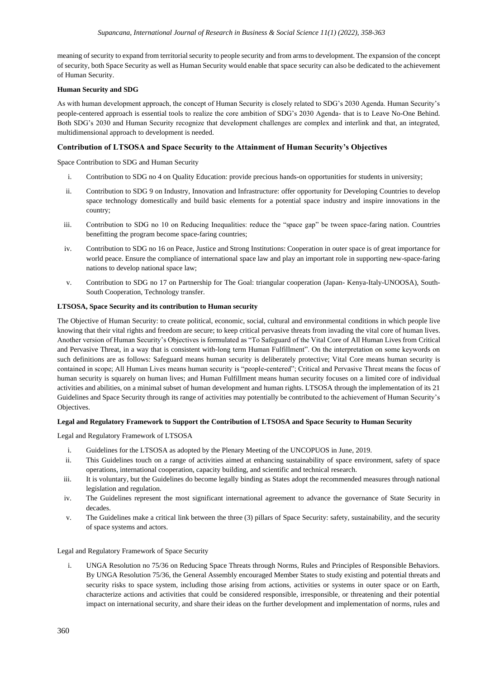meaning of security to expand from territorial security to people security and from arms to development. The expansion of the concept of security, both Space Security as well as Human Security would enable that space security can also be dedicated to the achievement of Human Security.

# **Human Security and SDG**

As with human development approach, the concept of Human Security is closely related to SDG's 2030 Agenda. Human Security's people-centered approach is essential tools to realize the core ambition of SDG's 2030 Agenda- that is to Leave No-One Behind. Both SDG's 2030 and Human Security recognize that development challenges are complex and interlink and that, an integrated, multidimensional approach to development is needed.

# **Contribution of LTSOSA and Space Security to the Attainment of Human Security's Objectives**

Space Contribution to SDG and Human Security

- i. Contribution to SDG no 4 on Quality Education: provide precious hands-on opportunities for students in university;
- ii. Contribution to SDG 9 on Industry, Innovation and Infrastructure: offer opportunity for Developing Countries to develop space technology domestically and build basic elements for a potential space industry and inspire innovations in the country;
- iii. Contribution to SDG no 10 on Reducing Inequalities: reduce the "space gap" be tween space-faring nation. Countries benefitting the program become space-faring countries;
- iv. Contribution to SDG no 16 on Peace, Justice and Strong Institutions: Cooperation in outer space is of great importance for world peace. Ensure the compliance of international space law and play an important role in supporting new-space-faring nations to develop national space law;
- v. Contribution to SDG no 17 on Partnership for The Goal: triangular cooperation (Japan- Kenya-Italy-UNOOSA), South-South Cooperation, Technology transfer.

#### **LTSOSA, Space Security and its contribution to Human security**

The Objective of Human Security: to create political, economic, social, cultural and environmental conditions in which people live knowing that their vital rights and freedom are secure; to keep critical pervasive threats from invading the vital core of human lives. Another version of Human Security's Objectives is formulated as "To Safeguard of the Vital Core of All Human Lives from Critical and Pervasive Threat, in a way that is consistent with-long term Human Fulfillment". On the interpretation on some keywords on such definitions are as follows: Safeguard means human security is deliberately protective; Vital Core means human security is contained in scope; All Human Lives means human security is "people-centered"; Critical and Pervasive Threat means the focus of human security is squarely on human lives; and Human Fulfillment means human security focuses on a limited core of individual activities and abilities, on a minimal subset of human development and human rights. LTSOSA through the implementation of its 21 Guidelines and Space Security through its range of activities may potentially be contributed to the achievement of Human Security's Objectives.

#### **Legal and Regulatory Framework to Support the Contribution of LTSOSA and Space Security to Human Security**

Legal and Regulatory Framework of LTSOSA

- i. Guidelines for the LTSOSA as adopted by the Plenary Meeting of the UNCOPUOS in June, 2019.
- ii. This Guidelines touch on a range of activities aimed at enhancing sustainability of space environment, safety of space operations, international cooperation, capacity building, and scientific and technical research.
- iii. It is voluntary, but the Guidelines do become legally binding as States adopt the recommended measures through national legislation and regulation.
- iv. The Guidelines represent the most significant international agreement to advance the governance of State Security in decades.
- v. The Guidelines make a critical link between the three (3) pillars of Space Security: safety, sustainability, and the security of space systems and actors.

Legal and Regulatory Framework of Space Security

i. UNGA Resolution no 75/36 on Reducing Space Threats through Norms, Rules and Principles of Responsible Behaviors. By UNGA Resolution 75/36, the General Assembly encouraged Member States to study existing and potential threats and security risks to space system, including those arising from actions, activities or systems in outer space or on Earth, characterize actions and activities that could be considered responsible, irresponsible, or threatening and their potential impact on international security, and share their ideas on the further development and implementation of norms, rules and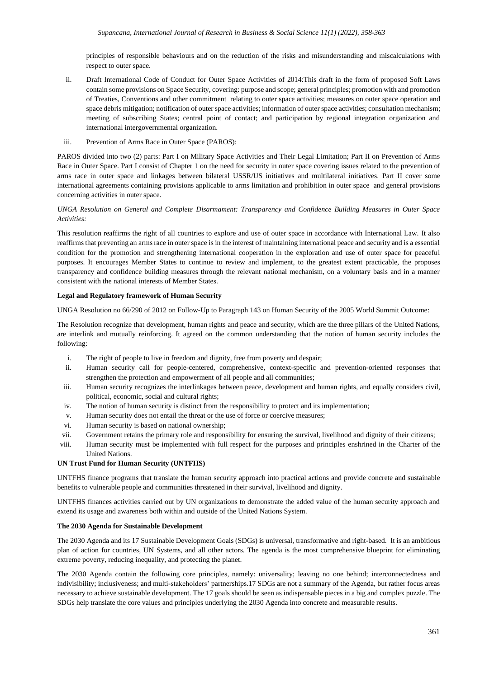principles of responsible behaviours and on the reduction of the risks and misunderstanding and miscalculations with respect to outer space.

- ii. Draft International Code of Conduct for Outer Space Activities of 2014:This draft in the form of proposed Soft Laws contain some provisions on Space Security, covering: purpose and scope; general principles; promotion with and promotion of Treaties, Conventions and other commitment relating to outer space activities; measures on outer space operation and space debris mitigation; notification of outer space activities; information of outer space activities; consultation mechanism; meeting of subscribing States; central point of contact; and participation by regional integration organization and international intergovernmental organization.
- iii. Prevention of Arms Race in Outer Space (PAROS):

PAROS divided into two (2) parts: Part I on Military Space Activities and Their Legal Limitation; Part II on Prevention of Arms Race in Outer Space. Part I consist of Chapter 1 on the need for security in outer space covering issues related to the prevention of arms race in outer space and linkages between bilateral USSR/US initiatives and multilateral initiatives. Part II cover some international agreements containing provisions applicable to arms limitation and prohibition in outer space and general provisions concerning activities in outer space.

# *UNGA Resolution on General and Complete Disarmament: Transparency and Confidence Building Measures in Outer Space Activities:*

This resolution reaffirms the right of all countries to explore and use of outer space in accordance with International Law. It also reaffirms that preventing an arms race in outer space is in the interest of maintaining international peace and security and is a essential condition for the promotion and strengthening international cooperation in the exploration and use of outer space for peaceful purposes. It encourages Member States to continue to review and implement, to the greatest extent practicable, the proposes transparency and confidence building measures through the relevant national mechanism, on a voluntary basis and in a manner consistent with the national interests of Member States.

# **Legal and Regulatory framework of Human Security**

UNGA Resolution no 66/290 of 2012 on Follow-Up to Paragraph 143 on Human Security of the 2005 World Summit Outcome:

The Resolution recognize that development, human rights and peace and security, which are the three pillars of the United Nations, are interlink and mutually reinforcing. It agreed on the common understanding that the notion of human security includes the following:

- i. The right of people to live in freedom and dignity, free from poverty and despair;
- ii. Human security call for people-centered, comprehensive, context-specific and prevention-oriented responses that strengthen the protection and empowerment of all people and all communities;
- iii. Human security recognizes the interlinkages between peace, development and human rights, and equally considers civil, political, economic, social and cultural rights;
- iv. The notion of human security is distinct from the responsibility to protect and its implementation;
- v. Human security does not entail the threat or the use of force or coercive measures;
- vi. Human security is based on national ownership;
- vii. Government retains the primary role and responsibility for ensuring the survival, livelihood and dignity of their citizens;
- viii. Human security must be implemented with full respect for the purposes and principles enshrined in the Charter of the United Nations.

#### **UN Trust Fund for Human Security (UNTFHS)**

UNTFHS finance programs that translate the human security approach into practical actions and provide concrete and sustainable benefits to vulnerable people and communities threatened in their survival, livelihood and dignity.

UNTFHS finances activities carried out by UN organizations to demonstrate the added value of the human security approach and extend its usage and awareness both within and outside of the United Nations System.

#### **The 2030 Agenda for Sustainable Development**

The 2030 Agenda and its 17 Sustainable Development Goals (SDGs) is universal, transformative and right-based. It is an ambitious plan of action for countries, UN Systems, and all other actors. The agenda is the most comprehensive blueprint for eliminating extreme poverty, reducing inequality, and protecting the planet.

The 2030 Agenda contain the following core principles, namely: universality; leaving no one behind; interconnectedness and indivisibility; inclusiveness; and multi-stakeholders' partnerships.17 SDGs are not a summary of the Agenda, but rather focus areas necessary to achieve sustainable development. The 17 goals should be seen as indispensable pieces in a big and complex puzzle. The SDGs help translate the core values and principles underlying the 2030 Agenda into concrete and measurable results.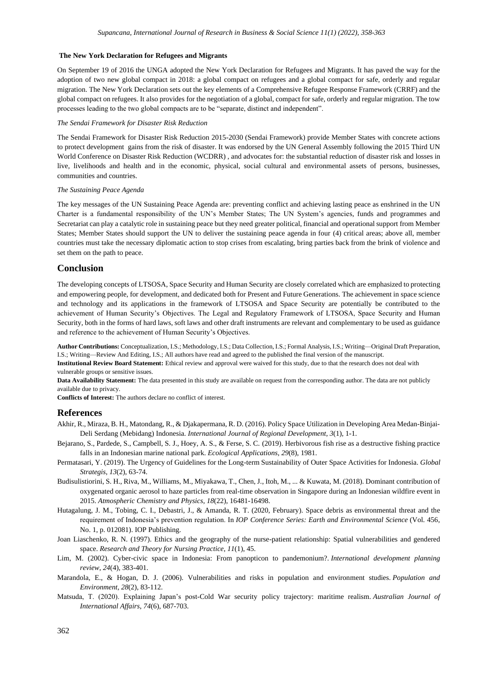#### **The New York Declaration for Refugees and Migrants**

On September 19 of 2016 the UNGA adopted the New York Declaration for Refugees and Migrants. It has paved the way for the adoption of two new global compact in 2018: a global compact on refugees and a global compact for safe, orderly and regular migration. The New York Declaration sets out the key elements of a Comprehensive Refugee Response Framework (CRRF) and the global compact on refugees. It also provides for the negotiation of a global, compact for safe, orderly and regular migration. The tow processes leading to the two global compacts are to be "separate, distinct and independent".

#### *The Sendai Framework for Disaster Risk Reduction*

The Sendai Framework for Disaster Risk Reduction 2015-2030 (Sendai Framework) provide Member States with concrete actions to protect development gains from the risk of disaster. It was endorsed by the UN General Assembly following the 2015 Third UN World Conference on Disaster Risk Reduction (WCDRR) , and advocates for: the substantial reduction of disaster risk and losses in live, livelihoods and health and in the economic, physical, social cultural and environmental assets of persons, businesses, communities and countries.

#### *The Sustaining Peace Agenda*

The key messages of the UN Sustaining Peace Agenda are: preventing conflict and achieving lasting peace as enshrined in the UN Charter is a fundamental responsibility of the UN's Member States; The UN System's agencies, funds and programmes and Secretariat can play a catalytic role in sustaining peace but they need greater political, financial and operational support from Member States; Member States should support the UN to deliver the sustaining peace agenda in four (4) critical areas; above all, member countries must take the necessary diplomatic action to stop crises from escalating, bring parties back from the brink of violence and set them on the path to peace.

# **Conclusion**

The developing concepts of LTSOSA, Space Security and Human Security are closely correlated which are emphasized to protecting and empowering people, for development, and dedicated both for Present and Future Generations. The achievement in space science and technology and its applications in the framework of LTSOSA and Space Security are potentially be contributed to the achievement of Human Security's Objectives. The Legal and Regulatory Framework of LTSOSA, Space Security and Human Security, both in the forms of hard laws, soft laws and other draft instruments are relevant and complementary to be used as guidance and reference to the achievement of Human Security's Objectives.

**Author Contributions:** Conceptualization, I.S.; Methodology, I.S.; Data Collection, I.S.; Formal Analysis, I.S.; Writing—Original Draft Preparation, I.S.; Writing—Review And Editing, I.S.; All authors have read and agreed to the published the final version of the manuscript.

**Institutional Review Board Statement:** Ethical review and approval were waived for this study, due to that the research does not deal with vulnerable groups or sensitive issues.

**Data Availability Statement:** The data presented in this study are available on request from the corresponding author. The data are not publicly available due to privacy.

**Conflicts of Interest:** The authors declare no conflict of interest.

### **References**

- Akhir, R., Miraza, B. H., Matondang, R., & Djakapermana, R. D. (2016). Policy Space Utilization in Developing Area Medan-Binjai-Deli Serdang (Mebidang) Indonesia. *International Journal of Regional Development*, *3*(1), 1-1.
- Bejarano, S., Pardede, S., Campbell, S. J., Hoey, A. S., & Ferse, S. C. (2019). Herbivorous fish rise as a destructive fishing practice falls in an Indonesian marine national park. *Ecological Applications*, *29*(8), 1981.
- Permatasari, Y. (2019). The Urgency of Guidelines for the Long-term Sustainability of Outer Space Activities for Indonesia. *Global Strategis*, *13*(2), 63-74.
- Budisulistiorini, S. H., Riva, M., Williams, M., Miyakawa, T., Chen, J., Itoh, M., ... & Kuwata, M. (2018). Dominant contribution of oxygenated organic aerosol to haze particles from real-time observation in Singapore during an Indonesian wildfire event in 2015. *Atmospheric Chemistry and Physics*, *18*(22), 16481-16498.
- Hutagalung, J. M., Tobing, C. I., Debastri, J., & Amanda, R. T. (2020, February). Space debris as environmental threat and the requirement of Indonesia's prevention regulation. In *IOP Conference Series: Earth and Environmental Science* (Vol. 456, No. 1, p. 012081). IOP Publishing.
- Joan Liaschenko, R. N. (1997). Ethics and the geography of the nurse-patient relationship: Spatial vulnerabilities and gendered space. *Research and Theory for Nursing Practice*, *11*(1), 45.
- Lim, M. (2002). Cyber-civic space in Indonesia: From panopticon to pandemonium?. *International development planning review*, *24*(4), 383-401.
- Marandola, E., & Hogan, D. J. (2006). Vulnerabilities and risks in population and environment studies. *Population and Environment*, *28*(2), 83-112.
- Matsuda, T. (2020). Explaining Japan's post-Cold War security policy trajectory: maritime realism. *Australian Journal of International Affairs*, *74*(6), 687-703.